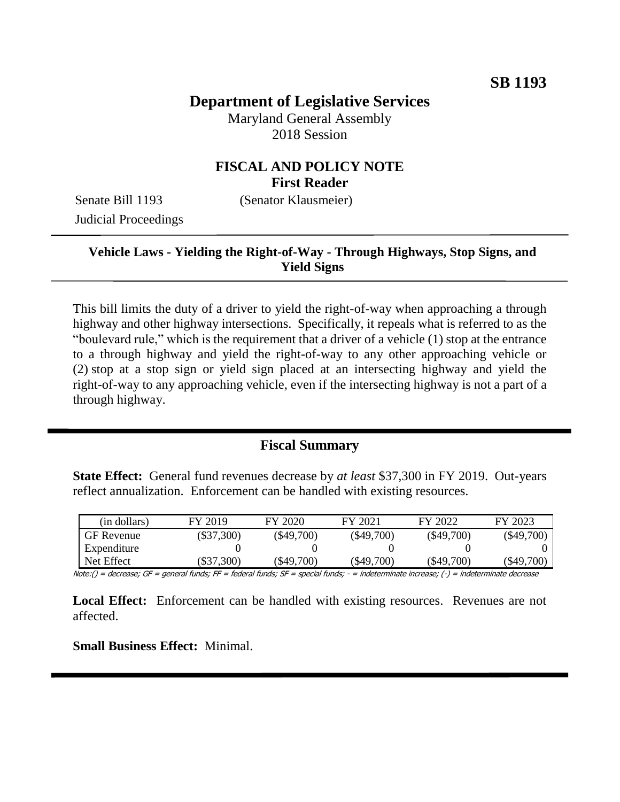# **Department of Legislative Services**

Maryland General Assembly 2018 Session

## **FISCAL AND POLICY NOTE First Reader**

Senate Bill 1193 (Senator Klausmeier) Judicial Proceedings

## **Vehicle Laws - Yielding the Right-of-Way - Through Highways, Stop Signs, and Yield Signs**

This bill limits the duty of a driver to yield the right-of-way when approaching a through highway and other highway intersections. Specifically, it repeals what is referred to as the "boulevard rule," which is the requirement that a driver of a vehicle (1) stop at the entrance to a through highway and yield the right-of-way to any other approaching vehicle or (2) stop at a stop sign or yield sign placed at an intersecting highway and yield the right-of-way to any approaching vehicle, even if the intersecting highway is not a part of a through highway.

## **Fiscal Summary**

**State Effect:** General fund revenues decrease by *at least* \$37,300 in FY 2019. Out-years reflect annualization. Enforcement can be handled with existing resources.

| (in dollars)      | FY 2019      | FY 2020      | FY 2021      | FY 2022      | FY 2023      |
|-------------------|--------------|--------------|--------------|--------------|--------------|
| <b>GF</b> Revenue | $(\$37,300)$ | $(\$49,700)$ | $(\$49,700)$ | $(\$49,700)$ | $(\$49,700)$ |
| Expenditure       |              |              |              |              |              |
| Net Effect        | $\$37,300)$  | (\$49,700)   | (\$49,700)   | (\$49,700)   | $(\$49,700)$ |

Note:() = decrease; GF = general funds; FF = federal funds; SF = special funds; - = indeterminate increase; (-) = indeterminate decrease

Local Effect: Enforcement can be handled with existing resources. Revenues are not affected.

**Small Business Effect:** Minimal.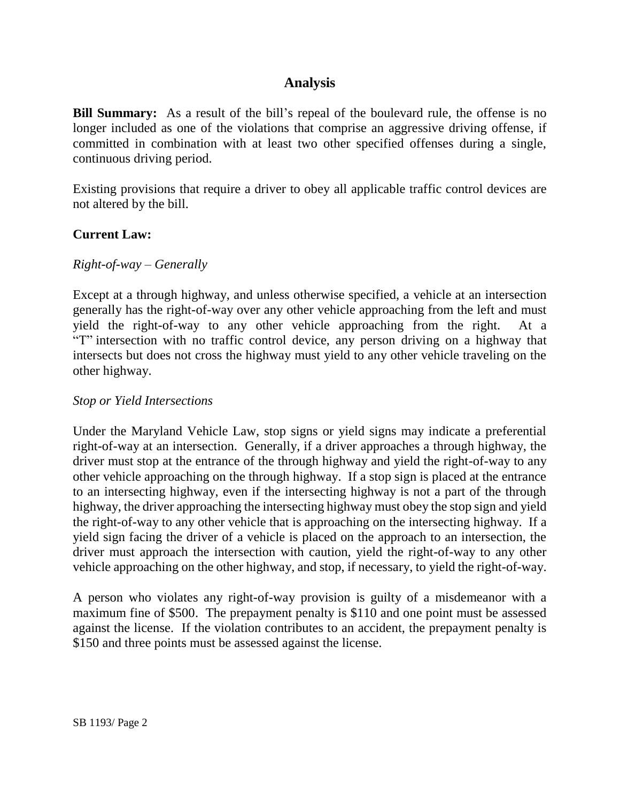## **Analysis**

**Bill Summary:** As a result of the bill's repeal of the boulevard rule, the offense is no longer included as one of the violations that comprise an aggressive driving offense, if committed in combination with at least two other specified offenses during a single, continuous driving period.

Existing provisions that require a driver to obey all applicable traffic control devices are not altered by the bill.

### **Current Law:**

#### *Right-of-way – Generally*

Except at a through highway, and unless otherwise specified, a vehicle at an intersection generally has the right-of-way over any other vehicle approaching from the left and must yield the right-of-way to any other vehicle approaching from the right. At a "T" intersection with no traffic control device, any person driving on a highway that intersects but does not cross the highway must yield to any other vehicle traveling on the other highway.

#### *Stop or Yield Intersections*

Under the Maryland Vehicle Law, stop signs or yield signs may indicate a preferential right-of-way at an intersection. Generally, if a driver approaches a through highway, the driver must stop at the entrance of the through highway and yield the right-of-way to any other vehicle approaching on the through highway. If a stop sign is placed at the entrance to an intersecting highway, even if the intersecting highway is not a part of the through highway, the driver approaching the intersecting highway must obey the stop sign and yield the right-of-way to any other vehicle that is approaching on the intersecting highway. If a yield sign facing the driver of a vehicle is placed on the approach to an intersection, the driver must approach the intersection with caution, yield the right-of-way to any other vehicle approaching on the other highway, and stop, if necessary, to yield the right-of-way.

A person who violates any right-of-way provision is guilty of a misdemeanor with a maximum fine of \$500. The prepayment penalty is \$110 and one point must be assessed against the license. If the violation contributes to an accident, the prepayment penalty is \$150 and three points must be assessed against the license.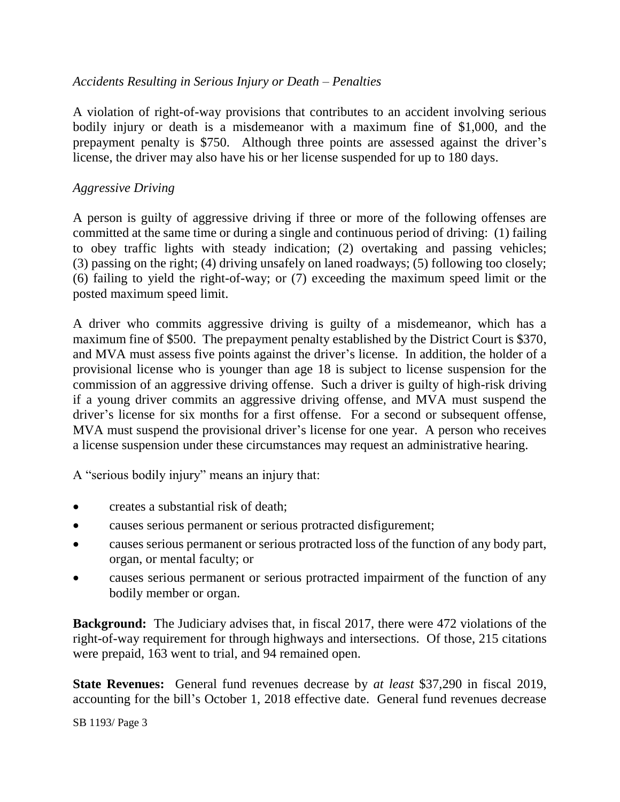## *Accidents Resulting in Serious Injury or Death – Penalties*

A violation of right-of-way provisions that contributes to an accident involving serious bodily injury or death is a misdemeanor with a maximum fine of \$1,000, and the prepayment penalty is \$750. Although three points are assessed against the driver's license, the driver may also have his or her license suspended for up to 180 days.

### *Aggressive Driving*

A person is guilty of aggressive driving if three or more of the following offenses are committed at the same time or during a single and continuous period of driving: (1) failing to obey traffic lights with steady indication; (2) overtaking and passing vehicles; (3) passing on the right; (4) driving unsafely on laned roadways; (5) following too closely; (6) failing to yield the right-of-way; or (7) exceeding the maximum speed limit or the posted maximum speed limit.

A driver who commits aggressive driving is guilty of a misdemeanor, which has a maximum fine of \$500. The prepayment penalty established by the District Court is \$370, and MVA must assess five points against the driver's license. In addition, the holder of a provisional license who is younger than age 18 is subject to license suspension for the commission of an aggressive driving offense. Such a driver is guilty of high-risk driving if a young driver commits an aggressive driving offense, and MVA must suspend the driver's license for six months for a first offense. For a second or subsequent offense, MVA must suspend the provisional driver's license for one year. A person who receives a license suspension under these circumstances may request an administrative hearing.

A "serious bodily injury" means an injury that:

- creates a substantial risk of death;
- causes serious permanent or serious protracted disfigurement;
- causes serious permanent or serious protracted loss of the function of any body part, organ, or mental faculty; or
- causes serious permanent or serious protracted impairment of the function of any bodily member or organ.

**Background:** The Judiciary advises that, in fiscal 2017, there were 472 violations of the right-of-way requirement for through highways and intersections. Of those, 215 citations were prepaid, 163 went to trial, and 94 remained open.

**State Revenues:** General fund revenues decrease by *at least* \$37,290 in fiscal 2019, accounting for the bill's October 1, 2018 effective date. General fund revenues decrease